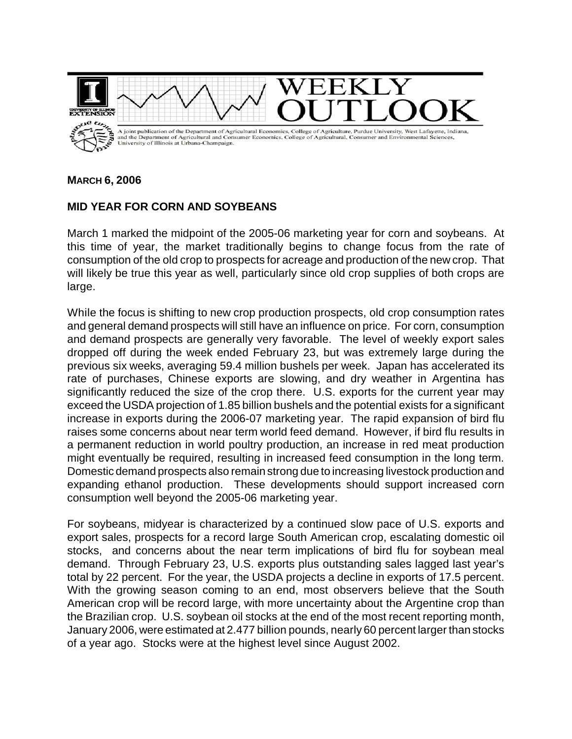

**MARCH 6, 2006**

## **MID YEAR FOR CORN AND SOYBEANS**

March 1 marked the midpoint of the 2005-06 marketing year for corn and soybeans. At this time of year, the market traditionally begins to change focus from the rate of consumption of the old crop to prospects for acreage and production of the new crop. That will likely be true this year as well, particularly since old crop supplies of both crops are large.

While the focus is shifting to new crop production prospects, old crop consumption rates and general demand prospects will still have an influence on price. For corn, consumption and demand prospects are generally very favorable. The level of weekly export sales dropped off during the week ended February 23, but was extremely large during the previous six weeks, averaging 59.4 million bushels per week. Japan has accelerated its rate of purchases, Chinese exports are slowing, and dry weather in Argentina has significantly reduced the size of the crop there. U.S. exports for the current year may exceed the USDA projection of 1.85 billion bushels and the potential exists for a significant increase in exports during the 2006-07 marketing year. The rapid expansion of bird flu raises some concerns about near term world feed demand. However, if bird flu results in a permanent reduction in world poultry production, an increase in red meat production might eventually be required, resulting in increased feed consumption in the long term. Domestic demand prospects also remain strong due to increasing livestock production and expanding ethanol production. These developments should support increased corn consumption well beyond the 2005-06 marketing year.

For soybeans, midyear is characterized by a continued slow pace of U.S. exports and export sales, prospects for a record large South American crop, escalating domestic oil stocks, and concerns about the near term implications of bird flu for soybean meal demand. Through February 23, U.S. exports plus outstanding sales lagged last year's total by 22 percent. For the year, the USDA projects a decline in exports of 17.5 percent. With the growing season coming to an end, most observers believe that the South American crop will be record large, with more uncertainty about the Argentine crop than the Brazilian crop. U.S. soybean oil stocks at the end of the most recent reporting month, January 2006, were estimated at 2.477 billion pounds, nearly 60 percent larger than stocks of a year ago. Stocks were at the highest level since August 2002.